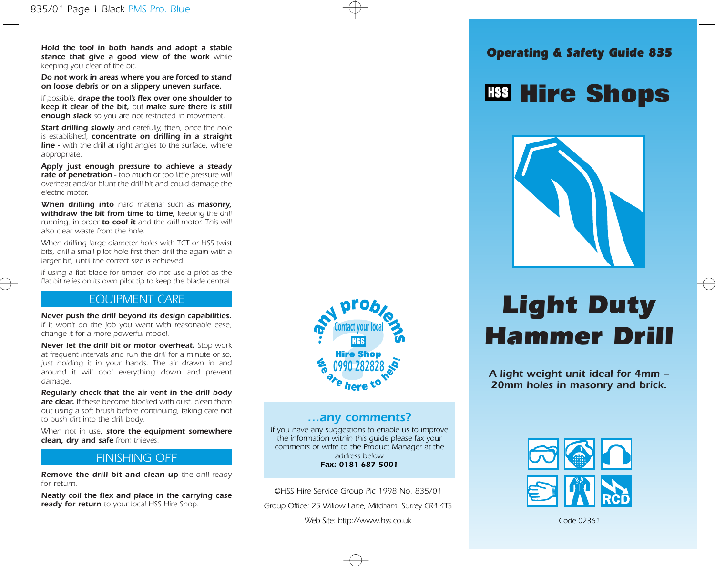Hold the tool in both hands and adopt a stable<br>Stable that give a good view of the work while stance that give a good view of the work while keeping you clear of the bit.

Do not work in areas where you are forced to stand on loose debris or on a slippery uneven surface.

If possible, drape the tool's flex over one shoulder to keep it clear of the bit, but make sure there is still **enough slack** so you are not restricted in movement.

**Start drilling slowly** and carefully, then, once the hole is established, concentrate on drilling in a straight **line -** with the drill at right angles to the surface, where appropriate.

Apply just enough pressure to achieve a steady rate of penetration - too much or too little pressure will overheat and/or blunt the drill bit and could damage the electric motor.

When drilling into hard material such as masonry. withdraw the bit from time to time, keeping the drill running, in order **to cool it** and the drill motor. This will also clear waste from the hole.

When drilling large diameter holes with TCT or HSS twist bits, drill a small pilot hole first then drill the again with a larger bit, until the correct size is achieved.

If using a flat blade for timber, do not use a pilot as the flat bit relies on its own pilot tip to keep the blade central.

## EQUIPMENT CARE

Never push the drill beyond its design capabilities. If it won't do the job you want with reasonable ease, change it for a more powerful model.

Never let the drill bit or motor overheat. Stop work at frequent intervals and run the drill for a minute or so, just holding it in your hands. The air drawn in and around it will cool everything down and prevent damage.

Regularly check that the air vent in the drill body are clear. If these become blocked with dust, clean them out using a soft brush before continuing, taking care not to push dirt into the drill body.

When not in use, store the equipment somewhere clean, dry and safe from thieves.

## FINISHING OFF

Remove the drill bit and clean up the drill ready for return.

Neatly coil the flex and place in the carrying case ready for return to your local HSS Hire Shop.



## …any comments?

If you have any suggestions to enable us to improve the information within this guide please fax your comments or write to the Product Manager at the address below Fax: 0181-687 5001

©HSS Hire Service Group Plc 1998 No. 835/01

Group Office: 25 Willow Lane, Mitcham, Surrey CR4 4TS

Web Site: http://www.hss.co.uk

## **Hire Shops**



# Light Duty Hammer Drill

A light weight unit ideal for 4mm – 20mm holes in masonry and brick.



Code 02361